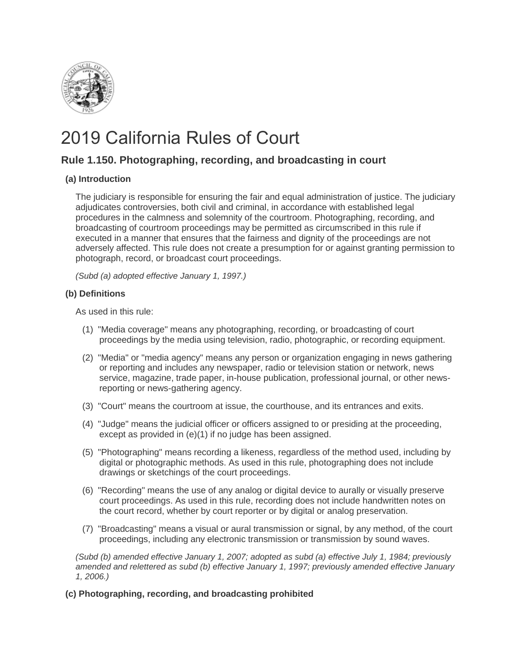

# 2019 California Rules of Court

# **Rule 1.150. Photographing, recording, and broadcasting in court**

## **(a) Introduction**

The judiciary is responsible for ensuring the fair and equal administration of justice. The judiciary adjudicates controversies, both civil and criminal, in accordance with established legal procedures in the calmness and solemnity of the courtroom. Photographing, recording, and broadcasting of courtroom proceedings may be permitted as circumscribed in this rule if executed in a manner that ensures that the fairness and dignity of the proceedings are not adversely affected. This rule does not create a presumption for or against granting permission to photograph, record, or broadcast court proceedings.

*(Subd (a) adopted effective January 1, 1997.)*

### **(b) Definitions**

As used in this rule:

- (1) "Media coverage" means any photographing, recording, or broadcasting of court proceedings by the media using television, radio, photographic, or recording equipment.
- (2) "Media" or "media agency" means any person or organization engaging in news gathering or reporting and includes any newspaper, radio or television station or network, news service, magazine, trade paper, in-house publication, professional journal, or other newsreporting or news-gathering agency.
- (3) "Court" means the courtroom at issue, the courthouse, and its entrances and exits.
- (4) "Judge" means the judicial officer or officers assigned to or presiding at the proceeding, except as provided in (e)(1) if no judge has been assigned.
- (5) "Photographing" means recording a likeness, regardless of the method used, including by digital or photographic methods. As used in this rule, photographing does not include drawings or sketchings of the court proceedings.
- (6) "Recording" means the use of any analog or digital device to aurally or visually preserve court proceedings. As used in this rule, recording does not include handwritten notes on the court record, whether by court reporter or by digital or analog preservation.
- (7) "Broadcasting" means a visual or aural transmission or signal, by any method, of the court proceedings, including any electronic transmission or transmission by sound waves.

*(Subd (b) amended effective January 1, 2007; adopted as subd (a) effective July 1, 1984; previously amended and relettered as subd (b) effective January 1, 1997; previously amended effective January 1, 2006.)*

#### **(c) Photographing, recording, and broadcasting prohibited**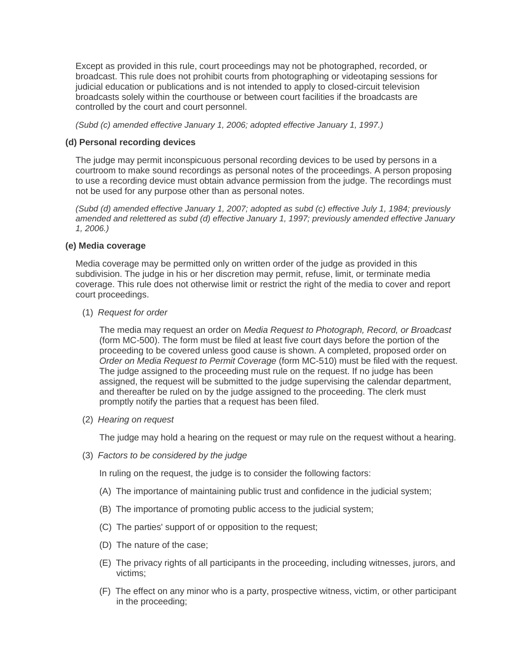Except as provided in this rule, court proceedings may not be photographed, recorded, or broadcast. This rule does not prohibit courts from photographing or videotaping sessions for judicial education or publications and is not intended to apply to closed-circuit television broadcasts solely within the courthouse or between court facilities if the broadcasts are controlled by the court and court personnel.

*(Subd (c) amended effective January 1, 2006; adopted effective January 1, 1997.)*

#### **(d) Personal recording devices**

The judge may permit inconspicuous personal recording devices to be used by persons in a courtroom to make sound recordings as personal notes of the proceedings. A person proposing to use a recording device must obtain advance permission from the judge. The recordings must not be used for any purpose other than as personal notes.

*(Subd (d) amended effective January 1, 2007; adopted as subd (c) effective July 1, 1984; previously amended and relettered as subd (d) effective January 1, 1997; previously amended effective January 1, 2006.)*

#### **(e) Media coverage**

Media coverage may be permitted only on written order of the judge as provided in this subdivision. The judge in his or her discretion may permit, refuse, limit, or terminate media coverage. This rule does not otherwise limit or restrict the right of the media to cover and report court proceedings.

(1) *Request for order* 

The media may request an order on *Media Request to Photograph, Record, or Broadcast*  (form MC-500). The form must be filed at least five court days before the portion of the proceeding to be covered unless good cause is shown. A completed, proposed order on *Order on Media Request to Permit Coverage* (form MC-510) must be filed with the request. The judge assigned to the proceeding must rule on the request. If no judge has been assigned, the request will be submitted to the judge supervising the calendar department, and thereafter be ruled on by the judge assigned to the proceeding. The clerk must promptly notify the parties that a request has been filed.

(2) *Hearing on request*

The judge may hold a hearing on the request or may rule on the request without a hearing.

(3) *Factors to be considered by the judge*

In ruling on the request, the judge is to consider the following factors:

- (A) The importance of maintaining public trust and confidence in the judicial system;
- (B) The importance of promoting public access to the judicial system;
- (C) The parties' support of or opposition to the request;
- (D) The nature of the case;
- (E) The privacy rights of all participants in the proceeding, including witnesses, jurors, and victims;
- (F) The effect on any minor who is a party, prospective witness, victim, or other participant in the proceeding;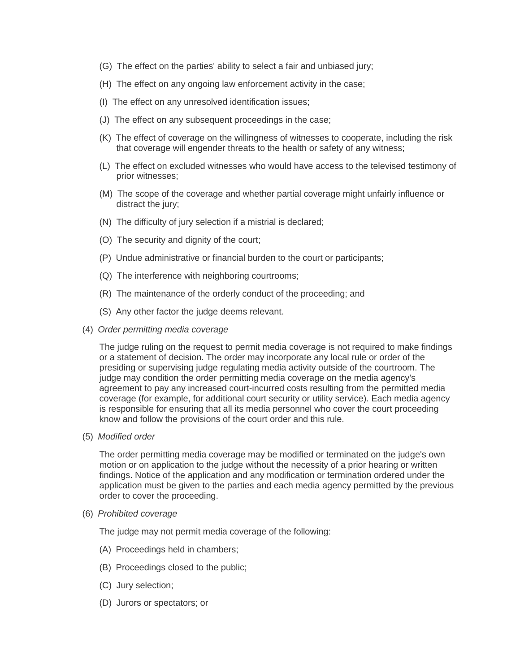- (G) The effect on the parties' ability to select a fair and unbiased jury;
- (H) The effect on any ongoing law enforcement activity in the case;
- (I) The effect on any unresolved identification issues;
- (J) The effect on any subsequent proceedings in the case;
- (K) The effect of coverage on the willingness of witnesses to cooperate, including the risk that coverage will engender threats to the health or safety of any witness;
- (L) The effect on excluded witnesses who would have access to the televised testimony of prior witnesses;
- (M) The scope of the coverage and whether partial coverage might unfairly influence or distract the jury;
- (N) The difficulty of jury selection if a mistrial is declared;
- (O) The security and dignity of the court;
- (P) Undue administrative or financial burden to the court or participants;
- (Q) The interference with neighboring courtrooms;
- (R) The maintenance of the orderly conduct of the proceeding; and
- (S) Any other factor the judge deems relevant.
- (4) *Order permitting media coverage*

The judge ruling on the request to permit media coverage is not required to make findings or a statement of decision. The order may incorporate any local rule or order of the presiding or supervising judge regulating media activity outside of the courtroom. The judge may condition the order permitting media coverage on the media agency's agreement to pay any increased court-incurred costs resulting from the permitted media coverage (for example, for additional court security or utility service). Each media agency is responsible for ensuring that all its media personnel who cover the court proceeding know and follow the provisions of the court order and this rule.

(5) *Modified order*

The order permitting media coverage may be modified or terminated on the judge's own motion or on application to the judge without the necessity of a prior hearing or written findings. Notice of the application and any modification or termination ordered under the application must be given to the parties and each media agency permitted by the previous order to cover the proceeding.

(6) *Prohibited coverage*

The judge may not permit media coverage of the following:

- (A) Proceedings held in chambers;
- (B) Proceedings closed to the public;
- (C) Jury selection;
- (D) Jurors or spectators; or